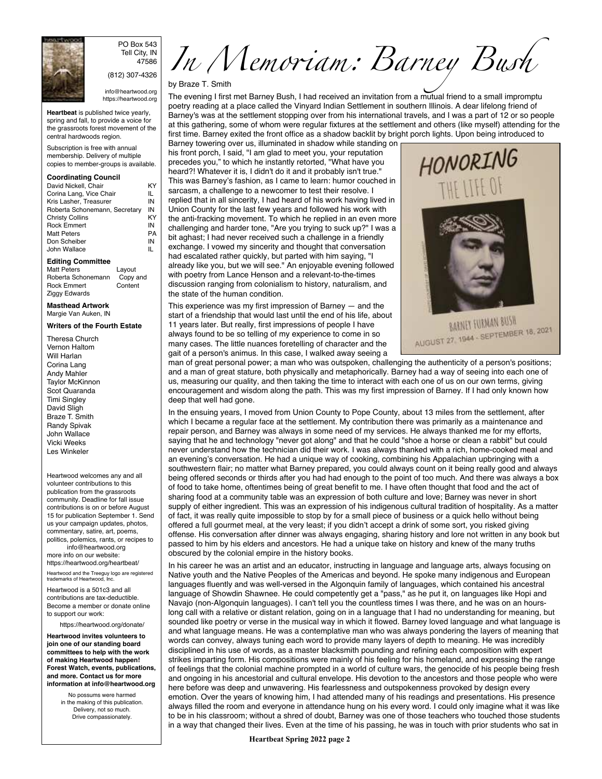

PO Box 543 Tell City, IN 47586 (812) 307-4326

info@heartwood.org https://heartwood.org

**Heartbeat** is published twice yearly, spring and fall, to provide a voice for the grassroots forest movement of the central hardwoods region.

Subscription is free with annual membership. Delivery of multiple copies to member-groups is available.

## **Coordinating Council**

| David Nickell, Chair          | ΚY |
|-------------------------------|----|
| Corina Lang, Vice Chair       | IL |
| Kris Lasher, Treasurer        | ΙN |
| Roberta Schonemann, Secretary | ΙN |
| <b>Christy Collins</b>        | KY |
| <b>Rock Emmert</b>            | ΙN |
| <b>Matt Peters</b>            | PA |
| Don Scheiber                  | ΙN |
| John Wallace                  |    |

**Editing Committee**

Matt Peters Layout<br>Roberta Schonemann Copy and Roberta Schonemann Copy a<br>Rock Emmert Content Rock Emmert Ziggy Edwards

**Masthead Artwork** Margie Van Auken, IN

## **Writers of the Fourth Estate**

Theresa Church Vernon Haltom Will Harlan Corina Lang Andy Mahler Taylor McKinnon Scot Quaranda Timi Singley David Sligh Braze T. Smith Randy Spivak John Wallace Vicki Weeks Les Winkeler

Heartwood welcomes any and all volunteer contributions to this publication from the grassroots community. Deadline for fall issue contributions is on or before August 15 for publication September 1. Send us your campaign updates, photos, commentary, satire, art, poems, politics, polemics, rants, or recipes to info@heartwood.org

more info on our website: https://heartwood.org/heartbeat/ Heartwood and the Treeguy logo are registered trademarks of Heartwood, Inc.

Heartwood is a 501c3 and all contributions are tax-deductible. Become a member or donate online to support our work:

https://heartwood.org/donate/

**Heartwood invites volunteers to join one of our standing board committees to help with the work of making Heartwood happen! Forest Watch, events, publications, and more. Contact us for more information at info@heartwood.org**

> No possums were harmed in the making of this publication. Delivery, not so much. Drive compassionately.

In Memoriam: Barney Bush

## by Braze T. Smith

The evening I first met Barney Bush, I had received an invitation from a mutual friend to a small impromptu poetry reading at a place called the Vinyard Indian Settlement in southern Illinois. A dear lifelong friend of Barney's was at the settlement stopping over from his international travels, and I was a part of 12 or so people at this gathering, some of whom were regular fixtures at the settlement and others (like myself) attending for the first time. Barney exited the front office as a shadow backlit by bright porch lights. Upon being introduced to

Barney towering over us, illuminated in shadow while standing on his front porch, I said, "I am glad to meet you, your reputation precedes you," to which he instantly retorted, "What have you heard?! Whatever it is, I didn't do it and it probably isn't true." This was Barney's fashion, as I came to learn: humor couched in sarcasm, a challenge to a newcomer to test their resolve. I replied that in all sincerity, I had heard of his work having lived in Union County for the last few years and followed his work with the anti-fracking movement. To which he replied in an even more challenging and harder tone, "Are you trying to suck up?" I was a bit aghast; I had never received such a challenge in a friendly exchange. I vowed my sincerity and thought that conversation had escalated rather quickly, but parted with him saying, "I already like you, but we will see." An enjoyable evening followed with poetry from Lance Henson and a relevant-to-the-times discussion ranging from colonialism to history, naturalism, and the state of the human condition.

This experience was my first impression of Barney — and the start of a friendship that would last until the end of his life, about 11 years later. But really, first impressions of people I have always found to be so telling of my experience to come in so many cases. The little nuances foretelling of character and the gait of a person's animus. In this case, I walked away seeing a



BARNEY FURMAN BUSH **BARNET TURNAR PUSH**<br>AUGUST 27, 1944 - SEPTEMBER 18, 2021

man of great personal power; a man who was outspoken, challenging the authenticity of a person's positions; and a man of great stature, both physically and metaphorically. Barney had a way of seeing into each one of us, measuring our quality, and then taking the time to interact with each one of us on our own terms, giving encouragement and wisdom along the path. This was my first impression of Barney. If I had only known how deep that well had gone.

In the ensuing years, I moved from Union County to Pope County, about 13 miles from the settlement, after which I became a regular face at the settlement. My contribution there was primarily as a maintenance and repair person, and Barney was always in some need of my services. He always thanked me for my efforts, saying that he and technology "never got along" and that he could "shoe a horse or clean a rabbit" but could never understand how the technician did their work. I was always thanked with a rich, home-cooked meal and an evening's conversation. He had a unique way of cooking, combining his Appalachian upbringing with a southwestern flair; no matter what Barney prepared, you could always count on it being really good and always being offered seconds or thirds after you had had enough to the point of too much. And there was always a box of food to take home, oftentimes being of great benefit to me. I have often thought that food and the act of sharing food at a community table was an expression of both culture and love; Barney was never in short supply of either ingredient. This was an expression of his indigenous cultural tradition of hospitality. As a matter of fact, it was really quite impossible to stop by for a small piece of business or a quick hello without being offered a full gourmet meal, at the very least; if you didn't accept a drink of some sort, you risked giving offense. His conversation after dinner was always engaging, sharing history and lore not written in any book but passed to him by his elders and ancestors. He had a unique take on history and knew of the many truths obscured by the colonial empire in the history books.

In his career he was an artist and an educator, instructing in language and language arts, always focusing on Native youth and the Native Peoples of the Americas and beyond. He spoke many indigenous and European languages fluently and was well-versed in the Algonquin family of languages, which contained his ancestral language of Showdin Shawnee. He could competently get a "pass," as he put it, on languages like Hopi and Navajo (non-Algonquin languages). I can't tell you the countless times I was there, and he was on an hourslong call with a relative or distant relation, going on in a language that I had no understanding for meaning, but sounded like poetry or verse in the musical way in which it flowed. Barney loved language and what language is and what language means. He was a contemplative man who was always pondering the layers of meaning that words can convey, always tuning each word to provide many layers of depth to meaning. He was incredibly disciplined in his use of words, as a master blacksmith pounding and refining each composition with expert strikes imparting form. His compositions were mainly of his feeling for his homeland, and expressing the range of feelings that the colonial machine prompted in a world of culture wars, the genocide of his people being fresh and ongoing in his ancestorial and cultural envelope. His devotion to the ancestors and those people who were here before was deep and unwavering. His fearlessness and outspokenness provoked by design every emotion. Over the years of knowing him, I had attended many of his readings and presentations. His presence always filled the room and everyone in attendance hung on his every word. I could only imagine what it was like to be in his classroom; without a shred of doubt, Barney was one of those teachers who touched those students in a way that changed their lives. Even at the time of his passing, he was in touch with prior students who sat in